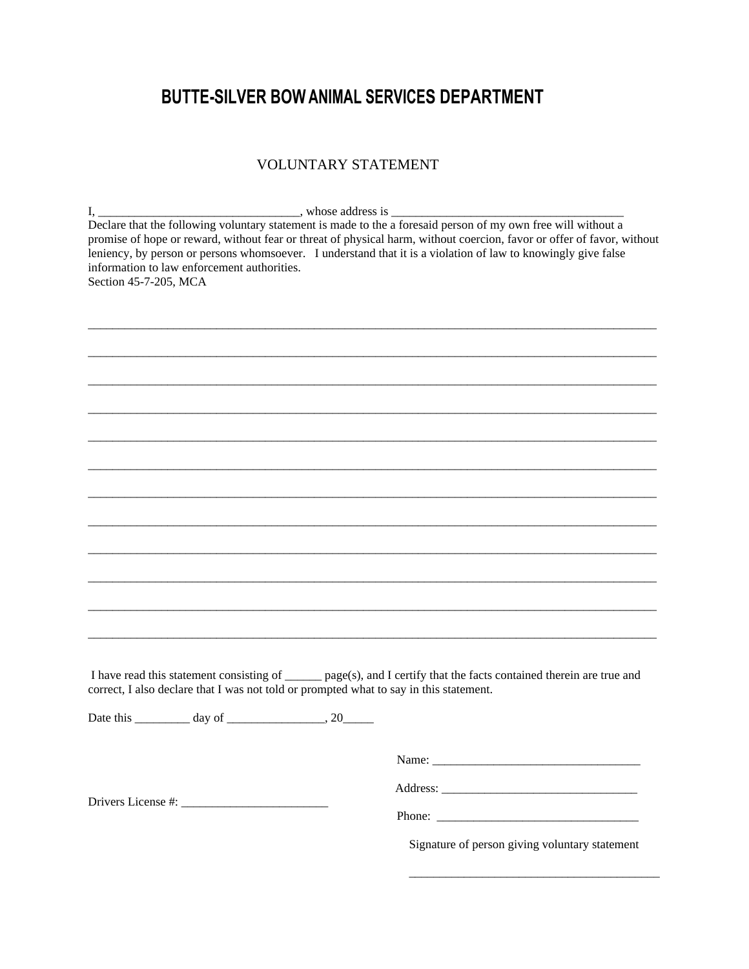## **BUTTE-SILVER BOW ANIMAL SERVICES DEPARTMENT**

## VOLUNTARY STATEMENT

I, \_\_\_\_\_\_\_\_\_\_\_\_\_\_\_\_\_\_\_\_\_\_\_\_\_\_\_\_\_\_\_\_\_, whose address is \_\_\_\_\_\_\_\_\_\_\_\_\_\_\_\_\_\_\_\_\_\_\_\_\_\_\_\_\_\_\_\_\_\_\_\_\_\_ Declare that the following voluntary statement is made to the a foresaid person of my own free will without a promise of hope or reward, without fear or threat of physical harm, without coercion, favor or offer of favor, without leniency, by person or persons whomsoever. I understand that it is a violation of law to knowingly give false information to law enforcement authorities. Section 45-7-205, MCA

\_\_\_\_\_\_\_\_\_\_\_\_\_\_\_\_\_\_\_\_\_\_\_\_\_\_\_\_\_\_\_\_\_\_\_\_\_\_\_\_\_\_\_\_\_\_\_\_\_\_\_\_\_\_\_\_\_\_\_\_\_\_\_\_\_\_\_\_\_\_\_\_\_\_\_\_\_\_\_\_\_\_\_\_\_\_\_\_\_\_\_\_\_

 $\overline{\phantom{a}}$  , and the contribution of the contribution of the contribution of the contribution of the contribution of the contribution of the contribution of the contribution of the contribution of the contribution of the  $\overline{\phantom{a}}$  , and the contribution of the contribution of the contribution of the contribution of the contribution of the contribution of the contribution of the contribution of the contribution of the contribution of the \_\_\_\_\_\_\_\_\_\_\_\_\_\_\_\_\_\_\_\_\_\_\_\_\_\_\_\_\_\_\_\_\_\_\_\_\_\_\_\_\_\_\_\_\_\_\_\_\_\_\_\_\_\_\_\_\_\_\_\_\_\_\_\_\_\_\_\_\_\_\_\_\_\_\_\_\_\_\_\_\_\_\_\_\_\_\_\_\_\_\_\_\_  $\overline{\phantom{a}}$  , and the contribution of the contribution of the contribution of the contribution of the contribution of the contribution of the contribution of the contribution of the contribution of the contribution of the  $\overline{\phantom{a}}$  , and the contribution of the contribution of the contribution of the contribution of the contribution of the contribution of the contribution of the contribution of the contribution of the contribution of the \_\_\_\_\_\_\_\_\_\_\_\_\_\_\_\_\_\_\_\_\_\_\_\_\_\_\_\_\_\_\_\_\_\_\_\_\_\_\_\_\_\_\_\_\_\_\_\_\_\_\_\_\_\_\_\_\_\_\_\_\_\_\_\_\_\_\_\_\_\_\_\_\_\_\_\_\_\_\_\_\_\_\_\_\_\_\_\_\_\_\_\_\_  $\overline{\phantom{a}}$  , and the contribution of the contribution of the contribution of the contribution of the contribution of the contribution of the contribution of the contribution of the contribution of the contribution of the  $\overline{\phantom{a}}$  , and the contribution of the contribution of the contribution of the contribution of the contribution of the contribution of the contribution of the contribution of the contribution of the contribution of the \_\_\_\_\_\_\_\_\_\_\_\_\_\_\_\_\_\_\_\_\_\_\_\_\_\_\_\_\_\_\_\_\_\_\_\_\_\_\_\_\_\_\_\_\_\_\_\_\_\_\_\_\_\_\_\_\_\_\_\_\_\_\_\_\_\_\_\_\_\_\_\_\_\_\_\_\_\_\_\_\_\_\_\_\_\_\_\_\_\_\_\_\_  $\overline{\phantom{a}}$  , and the contribution of the contribution of the contribution of the contribution of the contribution of the contribution of the contribution of the contribution of the contribution of the contribution of the  $\overline{\phantom{a}}$  , and the contribution of the contribution of the contribution of the contribution of the contribution of the contribution of the contribution of the contribution of the contribution of the contribution of the I have read this statement consisting of \_\_\_\_\_\_ page(s), and I certify that the facts contained therein are true and correct, I also declare that I was not told or prompted what to say in this statement. Date this \_\_\_\_\_\_\_\_\_ day of \_\_\_\_\_\_\_\_\_\_\_\_\_\_\_\_, 20\_\_\_\_\_

Drivers License #: \_\_\_\_\_\_\_\_\_\_\_\_\_\_\_\_\_\_\_\_\_\_\_\_

Name: \_\_\_\_\_\_\_\_\_\_\_\_\_\_\_\_\_\_\_\_\_\_\_\_\_\_\_\_\_\_\_\_\_\_

Address: \_\_\_\_\_\_\_\_\_\_\_\_\_\_\_\_\_\_\_\_\_\_\_\_\_\_\_\_\_\_\_\_

Phone: \_\_\_\_\_\_\_\_\_\_\_\_\_\_\_\_\_\_\_\_\_\_\_\_\_\_\_\_\_\_\_\_\_

Signature of person giving voluntary statement

\_\_\_\_\_\_\_\_\_\_\_\_\_\_\_\_\_\_\_\_\_\_\_\_\_\_\_\_\_\_\_\_\_\_\_\_\_\_\_\_\_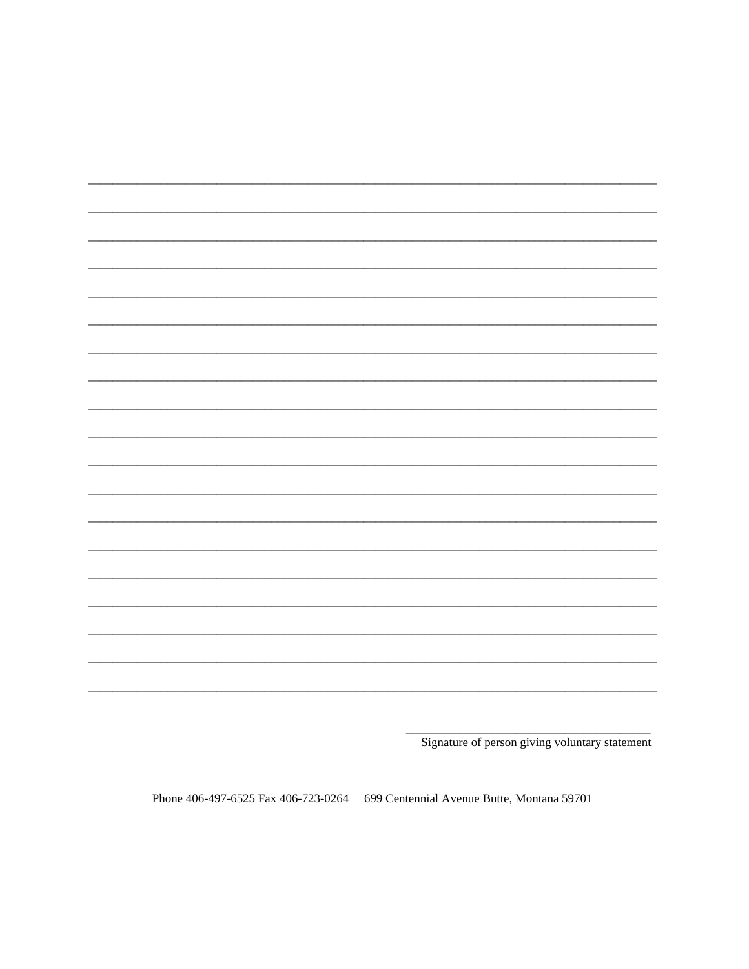|  |  | __________ |
|--|--|------------|
|  |  |            |

Signature of person giving voluntary statement

Phone 406-497-6525 Fax 406-723-0264 699 Centennial Avenue Butte, Montana 59701